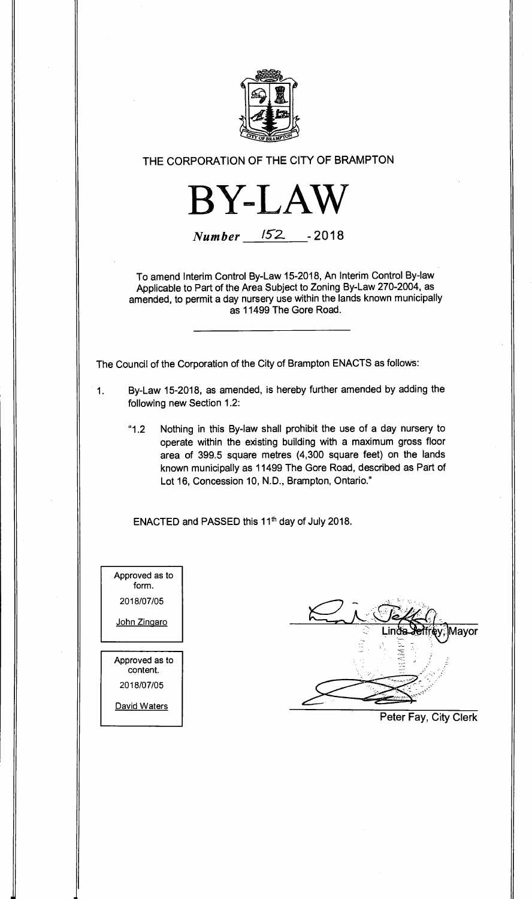

## **THE CORPORATION OF THE CITY OF BRAMPTON**

**BY-LAW** 

**Number 152. - 2018** 

**To amend Interim Control By-Law 15-2018, An Interim Control By-law Applicable to Part of the Area Subject to Zoning By-Law 270-2004, as amended, to permit a day nursery use within the lands known municipally as 11499 The Gore Road.** 

**The Council of the Corporation of the City of Brampton ENACTS as follows:** 

- **1. By-Law 15-2018, as amended, is hereby further amended by adding the following new Section 1.2:** 
	- **"1.2 Nothing in this By-law shall prohibit the use of a day nursery to operate within the existing building with a maximum gross floor area of 399.5 square metres (4,300 square feet) on the lands known municipally as 11499 The Gore Road, described as Part of Lot 16, Concession 10, N.D., Brampton, Ontario."**

ENACTED and PASSED this 11<sup>th</sup> day of July 2018.

Approved as to form. 2018/07/05 John Zingaro Approved as to content. 2018/07/05 David Waters

Mayor

**Peter Fay, City Clerk**